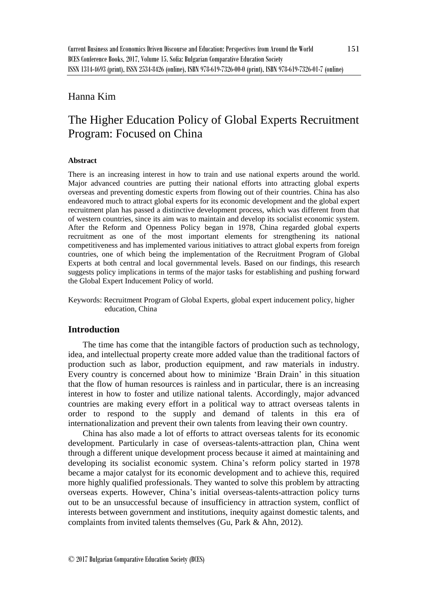# Hanna Kim

# The Higher Education Policy of Global Experts Recruitment Program: Focused on China

#### **Abstract**

There is an increasing interest in how to train and use national experts around the world. Major advanced countries are putting their national efforts into attracting global experts overseas and preventing domestic experts from flowing out of their countries. China has also endeavored much to attract global experts for its economic development and the global expert recruitment plan has passed a distinctive development process, which was different from that of western countries, since its aim was to maintain and develop its socialist economic system. After the Reform and Openness Policy began in 1978, China regarded global experts recruitment as one of the most important elements for strengthening its national competitiveness and has implemented various initiatives to attract global experts from foreign countries, one of which being the implementation of the Recruitment Program of Global Experts at both central and local governmental levels. Based on our findings, this research suggests policy implications in terms of the major tasks for establishing and pushing forward the Global Expert Inducement Policy of world.

Keywords: Recruitment Program of Global Experts, global expert inducement policy, higher education, China

## **Introduction**

The time has come that the intangible factors of production such as technology, idea, and intellectual property create more added value than the traditional factors of production such as labor, production equipment, and raw materials in industry. Every country is concerned about how to minimize 'Brain Drain' in this situation that the flow of human resources is rainless and in particular, there is an increasing interest in how to foster and utilize national talents. Accordingly, major advanced countries are making every effort in a political way to attract overseas talents in order to respond to the supply and demand of talents in this era of internationalization and prevent their own talents from leaving their own country.

China has also made a lot of efforts to attract overseas talents for its economic development. Particularly in case of overseas-talents-attraction plan, China went through a different unique development process because it aimed at maintaining and developing its socialist economic system. China's reform policy started in 1978 became a major catalyst for its economic development and to achieve this, required more highly qualified professionals. They wanted to solve this problem by attracting overseas experts. However, China's initial overseas-talents-attraction policy turns out to be an unsuccessful because of insufficiency in attraction system, conflict of interests between government and institutions, inequity against domestic talents, and complaints from invited talents themselves (Gu, Park & Ahn, 2012).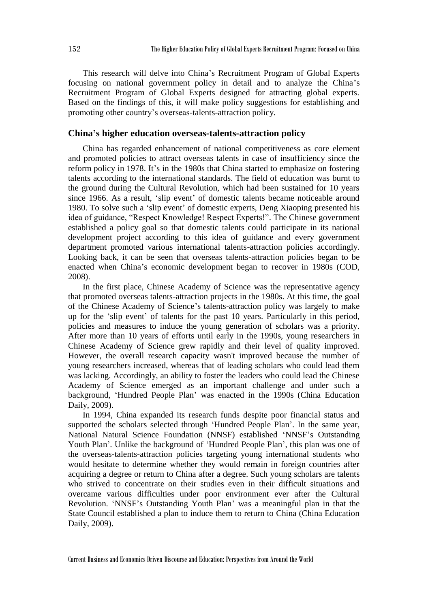This research will delve into China's Recruitment Program of Global Experts focusing on national government policy in detail and to analyze the China's Recruitment Program of Global Experts designed for attracting global experts. Based on the findings of this, it will make policy suggestions for establishing and promoting other country's overseas-talents-attraction policy.

## **China's higher education overseas-talents-attraction policy**

China has regarded enhancement of national competitiveness as core element and promoted policies to attract overseas talents in case of insufficiency since the reform policy in 1978. It's in the 1980s that China started to emphasize on fostering talents according to the international standards. The field of education was burnt to the ground during the Cultural Revolution, which had been sustained for 10 years since 1966. As a result, 'slip event' of domestic talents became noticeable around 1980. To solve such a 'slip event' of domestic experts, Deng Xiaoping presented his idea of guidance, "Respect Knowledge! Respect Experts!". The Chinese government established a policy goal so that domestic talents could participate in its national development project according to this idea of guidance and every government department promoted various international talents-attraction policies accordingly. Looking back, it can be seen that overseas talents-attraction policies began to be enacted when China's economic development began to recover in 1980s (COD, 2008).

In the first place, Chinese Academy of Science was the representative agency that promoted overseas talents-attraction projects in the 1980s. At this time, the goal of the Chinese Academy of Science's talents-attraction policy was largely to make up for the 'slip event' of talents for the past 10 years. Particularly in this period, policies and measures to induce the young generation of scholars was a priority. After more than 10 years of efforts until early in the 1990s, young researchers in Chinese Academy of Science grew rapidly and their level of quality improved. However, the overall research capacity wasn't improved because the number of young researchers increased, whereas that of leading scholars who could lead them was lacking. Accordingly, an ability to foster the leaders who could lead the Chinese Academy of Science emerged as an important challenge and under such a background, 'Hundred People Plan' was enacted in the 1990s (China Education Daily, 2009).

In 1994, China expanded its research funds despite poor financial status and supported the scholars selected through 'Hundred People Plan'. In the same year, National Natural Science Foundation (NNSF) established 'NNSF's Outstanding Youth Plan'. Unlike the background of 'Hundred People Plan', this plan was one of the overseas-talents-attraction policies targeting young international students who would hesitate to determine whether they would remain in foreign countries after acquiring a degree or return to China after a degree. Such young scholars are talents who strived to concentrate on their studies even in their difficult situations and overcame various difficulties under poor environment ever after the Cultural Revolution. 'NNSF's Outstanding Youth Plan' was a meaningful plan in that the State Council established a plan to induce them to return to China (China Education Daily, 2009).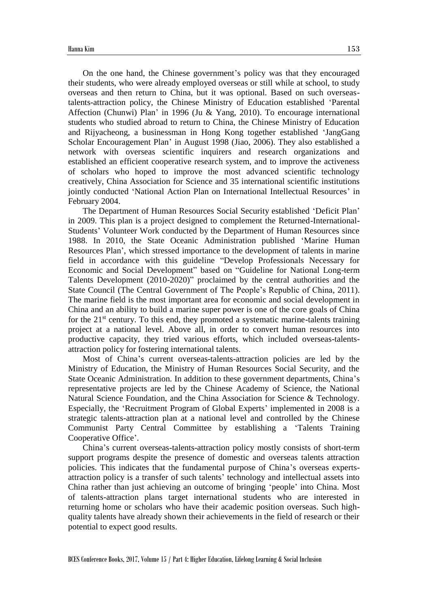On the one hand, the Chinese government's policy was that they encouraged their students, who were already employed overseas or still while at school, to study overseas and then return to China, but it was optional. Based on such overseastalents-attraction policy, the Chinese Ministry of Education established 'Parental Affection (Chunwi) Plan' in 1996 (Ju & Yang, 2010). To encourage international students who studied abroad to return to China, the Chinese Ministry of Education and Rijyacheong, a businessman in Hong Kong together established 'JangGang Scholar Encouragement Plan' in August 1998 (Jiao, 2006). They also established a network with overseas scientific inquirers and research organizations and established an efficient cooperative research system, and to improve the activeness of scholars who hoped to improve the most advanced scientific technology creatively, China Association for Science and 35 international scientific institutions jointly conducted 'National Action Plan on International Intellectual Resources' in February 2004.

The Department of Human Resources Social Security established 'Deficit Plan' in 2009. This plan is a project designed to complement the Returned-International-Students' Volunteer Work conducted by the Department of Human Resources since 1988. In 2010, the State Oceanic Administration published 'Marine Human Resources Plan', which stressed importance to the development of talents in marine field in accordance with this guideline "Develop Professionals Necessary for Economic and Social Development" based on "Guideline for National Long-term Talents Development (2010-2020)" proclaimed by the central authorities and the State Council (The Central Government of The People's Republic of China, 2011). The marine field is the most important area for economic and social development in China and an ability to build a marine super power is one of the core goals of China for the  $21<sup>st</sup>$  century. To this end, they promoted a systematic marine-talents training project at a national level. Above all, in order to convert human resources into productive capacity, they tried various efforts, which included overseas-talentsattraction policy for fostering international talents.

Most of China's current overseas-talents-attraction policies are led by the Ministry of Education, the Ministry of Human Resources Social Security, and the State Oceanic Administration. In addition to these government departments, China's representative projects are led by the Chinese Academy of Science, the National Natural Science Foundation, and the China Association for Science & Technology. Especially, the 'Recruitment Program of Global Experts' implemented in 2008 is a strategic talents-attraction plan at a national level and controlled by the Chinese Communist Party Central Committee by establishing a 'Talents Training Cooperative Office'.

China's current overseas-talents-attraction policy mostly consists of short-term support programs despite the presence of domestic and overseas talents attraction policies. This indicates that the fundamental purpose of China's overseas expertsattraction policy is a transfer of such talents' technology and intellectual assets into China rather than just achieving an outcome of bringing 'people' into China. Most of talents-attraction plans target international students who are interested in returning home or scholars who have their academic position overseas. Such highquality talents have already shown their achievements in the field of research or their potential to expect good results.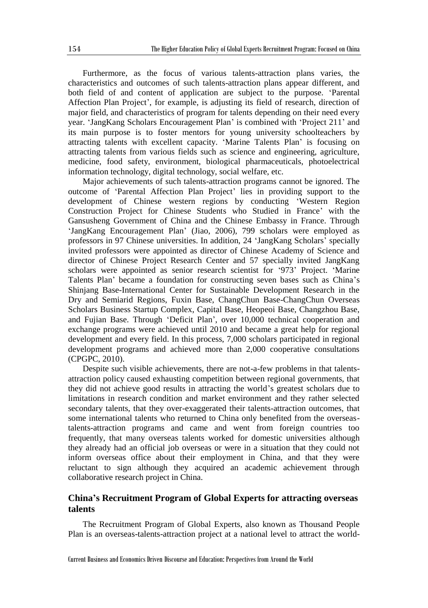Furthermore, as the focus of various talents-attraction plans varies, the characteristics and outcomes of such talents-attraction plans appear different, and both field of and content of application are subject to the purpose. 'Parental Affection Plan Project', for example, is adjusting its field of research, direction of major field, and characteristics of program for talents depending on their need every year. 'JangKang Scholars Encouragement Plan' is combined with 'Project 211' and its main purpose is to foster mentors for young university schoolteachers by attracting talents with excellent capacity. 'Marine Talents Plan' is focusing on attracting talents from various fields such as science and engineering, agriculture, medicine, food safety, environment, biological pharmaceuticals, photoelectrical information technology, digital technology, social welfare, etc.

Major achievements of such talents-attraction programs cannot be ignored. The outcome of 'Parental Affection Plan Project' lies in providing support to the development of Chinese western regions by conducting 'Western Region Construction Project for Chinese Students who Studied in France' with the Gansusheng Government of China and the Chinese Embassy in France. Through 'JangKang Encouragement Plan' (Jiao, 2006), 799 scholars were employed as professors in 97 Chinese universities. In addition, 24 'JangKang Scholars' specially invited professors were appointed as director of Chinese Academy of Science and director of Chinese Project Research Center and 57 specially invited JangKang scholars were appointed as senior research scientist for '973' Project. 'Marine Talents Plan' became a foundation for constructing seven bases such as China's Shinjang Base-International Center for Sustainable Development Research in the Dry and Semiarid Regions, Fuxin Base, ChangChun Base-ChangChun Overseas Scholars Business Startup Complex, Capital Base, Heopeoi Base, Changzhou Base, and Fujian Base. Through 'Deficit Plan', over 10,000 technical cooperation and exchange programs were achieved until 2010 and became a great help for regional development and every field. In this process, 7,000 scholars participated in regional development programs and achieved more than 2,000 cooperative consultations (CPGPC, 2010).

Despite such visible achievements, there are not-a-few problems in that talentsattraction policy caused exhausting competition between regional governments, that they did not achieve good results in attracting the world's greatest scholars due to limitations in research condition and market environment and they rather selected secondary talents, that they over-exaggerated their talents-attraction outcomes, that some international talents who returned to China only benefited from the overseastalents-attraction programs and came and went from foreign countries too frequently, that many overseas talents worked for domestic universities although they already had an official job overseas or were in a situation that they could not inform overseas office about their employment in China, and that they were reluctant to sign although they acquired an academic achievement through collaborative research project in China.

# **China's Recruitment Program of Global Experts for attracting overseas talents**

The Recruitment Program of Global Experts, also known as Thousand People Plan is an overseas-talents-attraction project at a national level to attract the world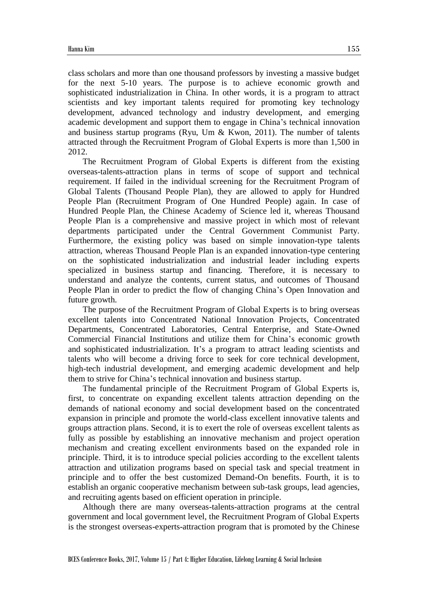class scholars and more than one thousand professors by investing a massive budget for the next 5-10 years. The purpose is to achieve economic growth and sophisticated industrialization in China. In other words, it is a program to attract scientists and key important talents required for promoting key technology development, advanced technology and industry development, and emerging academic development and support them to engage in China's technical innovation and business startup programs (Ryu, Um & Kwon, 2011). The number of talents attracted through the Recruitment Program of Global Experts is more than 1,500 in 2012.

The Recruitment Program of Global Experts is different from the existing overseas-talents-attraction plans in terms of scope of support and technical requirement. If failed in the individual screening for the Recruitment Program of Global Talents (Thousand People Plan), they are allowed to apply for Hundred People Plan (Recruitment Program of One Hundred People) again. In case of Hundred People Plan, the Chinese Academy of Science led it, whereas Thousand People Plan is a comprehensive and massive project in which most of relevant departments participated under the Central Government Communist Party. Furthermore, the existing policy was based on simple innovation-type talents attraction, whereas Thousand People Plan is an expanded innovation-type centering on the sophisticated industrialization and industrial leader including experts specialized in business startup and financing. Therefore, it is necessary to understand and analyze the contents, current status, and outcomes of Thousand People Plan in order to predict the flow of changing China's Open Innovation and future growth.

The purpose of the Recruitment Program of Global Experts is to bring overseas excellent talents into Concentrated National Innovation Projects, Concentrated Departments, Concentrated Laboratories, Central Enterprise, and State-Owned Commercial Financial Institutions and utilize them for China's economic growth and sophisticated industrialization. It's a program to attract leading scientists and talents who will become a driving force to seek for core technical development, high-tech industrial development, and emerging academic development and help them to strive for China's technical innovation and business startup.

The fundamental principle of the Recruitment Program of Global Experts is, first, to concentrate on expanding excellent talents attraction depending on the demands of national economy and social development based on the concentrated expansion in principle and promote the world-class excellent innovative talents and groups attraction plans. Second, it is to exert the role of overseas excellent talents as fully as possible by establishing an innovative mechanism and project operation mechanism and creating excellent environments based on the expanded role in principle. Third, it is to introduce special policies according to the excellent talents attraction and utilization programs based on special task and special treatment in principle and to offer the best customized Demand-On benefits. Fourth, it is to establish an organic cooperative mechanism between sub-task groups, lead agencies, and recruiting agents based on efficient operation in principle.

Although there are many overseas-talents-attraction programs at the central government and local government level, the Recruitment Program of Global Experts is the strongest overseas-experts-attraction program that is promoted by the Chinese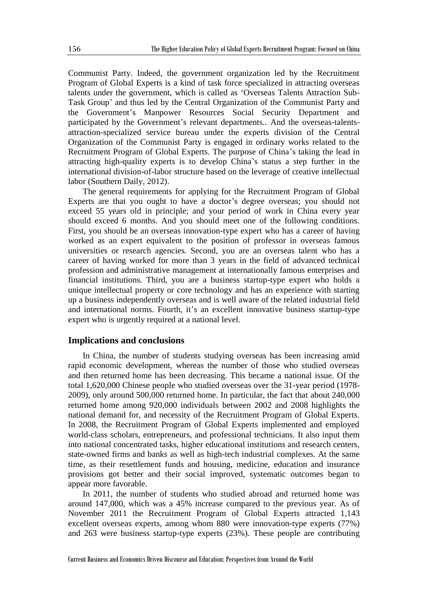Communist Party. Indeed, the government organization led by the Recruitment Program of Global Experts is a kind of task force specialized in attracting overseas talents under the government, which is called as 'Overseas Talents Attraction Sub-Task Group' and thus led by the Central Organization of the Communist Party and the Government's Manpower Resources Social Security Department and participated by the Government's relevant departments.. And the overseas-talentsattraction-specialized service bureau under the experts division of the Central Organization of the Communist Party is engaged in ordinary works related to the Recruitment Program of Global Experts. The purpose of China's taking the lead in attracting high-quality experts is to develop China's status a step further in the international division-of-labor structure based on the leverage of creative intellectual labor (Southern Daily, 2012).

The general requirements for applying for the Recruitment Program of Global Experts are that you ought to have a doctor's degree overseas; you should not exceed 55 years old in principle; and your period of work in China every year should exceed 6 months. And you should meet one of the following conditions. First, you should be an overseas innovation-type expert who has a career of having worked as an expert equivalent to the position of professor in overseas famous universities or research agencies. Second, you are an overseas talent who has a career of having worked for more than 3 years in the field of advanced technical profession and administrative management at internationally famous enterprises and financial institutions. Third, you are a business startup-type expert who holds a unique intellectual property or core technology and has an experience with starting up a business independently overseas and is well aware of the related industrial field and international norms. Fourth, it's an excellent innovative business startup-type expert who is urgently required at a national level.

#### **Implications and conclusions**

In China, the number of students studying overseas has been increasing amid rapid economic development, whereas the number of those who studied overseas and then returned home has been decreasing. This became a national issue. Of the total 1,620,000 Chinese people who studied overseas over the 31-year period (1978- 2009), only around 500,000 returned home. In particular, the fact that about 240,000 returned home among 920,000 individuals between 2002 and 2008 highlights the national demand for, and necessity of the Recruitment Program of Global Experts. In 2008, the Recruitment Program of Global Experts implemented and employed world-class scholars, entrepreneurs, and professional technicians. It also input them into national concentrated tasks, higher educational institutions and research centers, state-owned firms and banks as well as high-tech industrial complexes. At the same time, as their resettlement funds and housing, medicine, education and insurance provisions got better and their social improved, systematic outcomes began to appear more favorable.

In 2011, the number of students who studied abroad and returned home was around 147,000, which was a 45% increase compared to the previous year. As of November 2011 the Recruitment Program of Global Experts attracted 1,143 excellent overseas experts, among whom 880 were innovation-type experts (77%) and 263 were business startup-type experts (23%). These people are contributing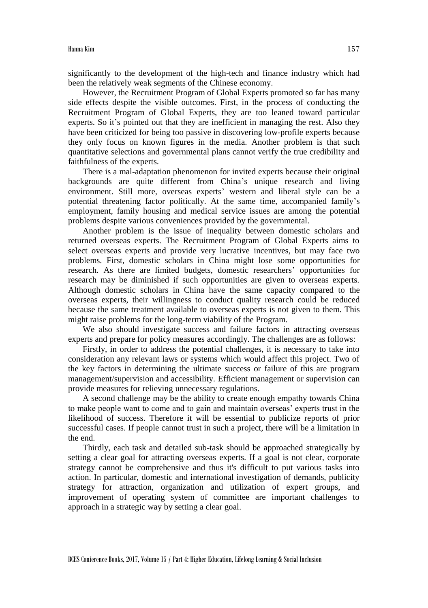significantly to the development of the high-tech and finance industry which had been the relatively weak segments of the Chinese economy.

However, the Recruitment Program of Global Experts promoted so far has many side effects despite the visible outcomes. First, in the process of conducting the Recruitment Program of Global Experts, they are too leaned toward particular experts. So it's pointed out that they are inefficient in managing the rest. Also they have been criticized for being too passive in discovering low-profile experts because they only focus on known figures in the media. Another problem is that such quantitative selections and governmental plans cannot verify the true credibility and faithfulness of the experts.

There is a mal-adaptation phenomenon for invited experts because their original backgrounds are quite different from China's unique research and living environment. Still more, overseas experts' western and liberal style can be a potential threatening factor politically. At the same time, accompanied family's employment, family housing and medical service issues are among the potential problems despite various conveniences provided by the governmental.

Another problem is the issue of inequality between domestic scholars and returned overseas experts. The Recruitment Program of Global Experts aims to select overseas experts and provide very lucrative incentives, but may face two problems. First, domestic scholars in China might lose some opportunities for research. As there are limited budgets, domestic researchers' opportunities for research may be diminished if such opportunities are given to overseas experts. Although domestic scholars in China have the same capacity compared to the overseas experts, their willingness to conduct quality research could be reduced because the same treatment available to overseas experts is not given to them. This might raise problems for the long-term viability of the Program.

We also should investigate success and failure factors in attracting overseas experts and prepare for policy measures accordingly. The challenges are as follows:

Firstly, in order to address the potential challenges, it is necessary to take into consideration any relevant laws or systems which would affect this project. Two of the key factors in determining the ultimate success or failure of this are program management/supervision and accessibility. Efficient management or supervision can provide measures for relieving unnecessary regulations.

A second challenge may be the ability to create enough empathy towards China to make people want to come and to gain and maintain overseas' experts trust in the likelihood of success. Therefore it will be essential to publicize reports of prior successful cases. If people cannot trust in such a project, there will be a limitation in the end.

Thirdly, each task and detailed sub-task should be approached strategically by setting a clear goal for attracting overseas experts. If a goal is not clear, corporate strategy cannot be comprehensive and thus it's difficult to put various tasks into action. In particular, domestic and international investigation of demands, publicity strategy for attraction, organization and utilization of expert groups, and improvement of operating system of committee are important challenges to approach in a strategic way by setting a clear goal.